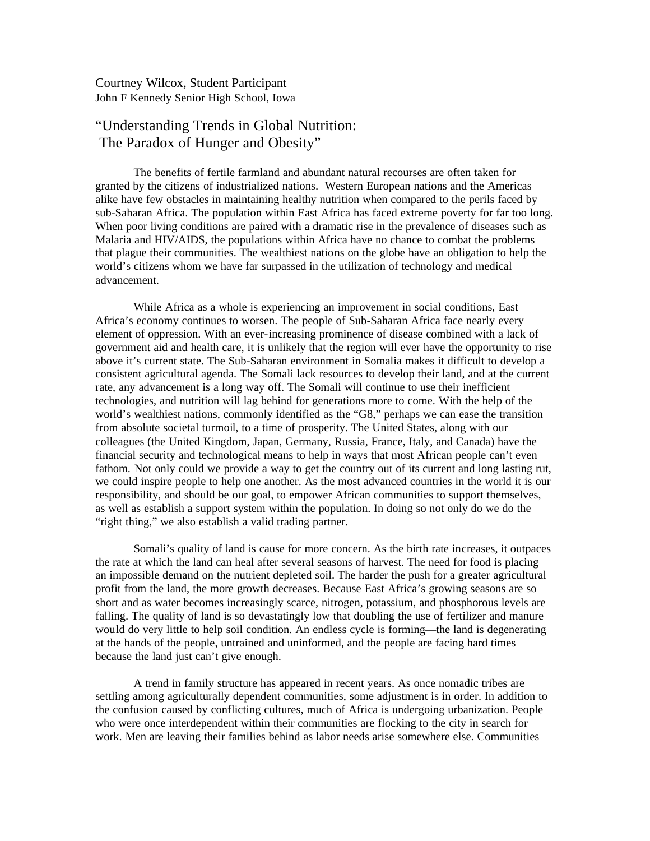Courtney Wilcox, Student Participant John F Kennedy Senior High School, Iowa

## "Understanding Trends in Global Nutrition: The Paradox of Hunger and Obesity"

The benefits of fertile farmland and abundant natural recourses are often taken for granted by the citizens of industrialized nations. Western European nations and the Americas alike have few obstacles in maintaining healthy nutrition when compared to the perils faced by sub-Saharan Africa. The population within East Africa has faced extreme poverty for far too long. When poor living conditions are paired with a dramatic rise in the prevalence of diseases such as Malaria and HIV/AIDS, the populations within Africa have no chance to combat the problems that plague their communities. The wealthiest nations on the globe have an obligation to help the world's citizens whom we have far surpassed in the utilization of technology and medical advancement.

While Africa as a whole is experiencing an improvement in social conditions, East Africa's economy continues to worsen. The people of Sub-Saharan Africa face nearly every element of oppression. With an ever-increasing prominence of disease combined with a lack of government aid and health care, it is unlikely that the region will ever have the opportunity to rise above it's current state. The Sub-Saharan environment in Somalia makes it difficult to develop a consistent agricultural agenda. The Somali lack resources to develop their land, and at the current rate, any advancement is a long way off. The Somali will continue to use their inefficient technologies, and nutrition will lag behind for generations more to come. With the help of the world's wealthiest nations, commonly identified as the "G8," perhaps we can ease the transition from absolute societal turmoil, to a time of prosperity. The United States, along with our colleagues (the United Kingdom, Japan, Germany, Russia, France, Italy, and Canada) have the financial security and technological means to help in ways that most African people can't even fathom. Not only could we provide a way to get the country out of its current and long lasting rut, we could inspire people to help one another. As the most advanced countries in the world it is our responsibility, and should be our goal, to empower African communities to support themselves, as well as establish a support system within the population. In doing so not only do we do the "right thing," we also establish a valid trading partner.

Somali's quality of land is cause for more concern. As the birth rate increases, it outpaces the rate at which the land can heal after several seasons of harvest. The need for food is placing an impossible demand on the nutrient depleted soil. The harder the push for a greater agricultural profit from the land, the more growth decreases. Because East Africa's growing seasons are so short and as water becomes increasingly scarce, nitrogen, potassium, and phosphorous levels are falling. The quality of land is so devastatingly low that doubling the use of fertilizer and manure would do very little to help soil condition. An endless cycle is forming—the land is degenerating at the hands of the people, untrained and uninformed, and the people are facing hard times because the land just can't give enough.

A trend in family structure has appeared in recent years. As once nomadic tribes are settling among agriculturally dependent communities, some adjustment is in order. In addition to the confusion caused by conflicting cultures, much of Africa is undergoing urbanization. People who were once interdependent within their communities are flocking to the city in search for work. Men are leaving their families behind as labor needs arise somewhere else. Communities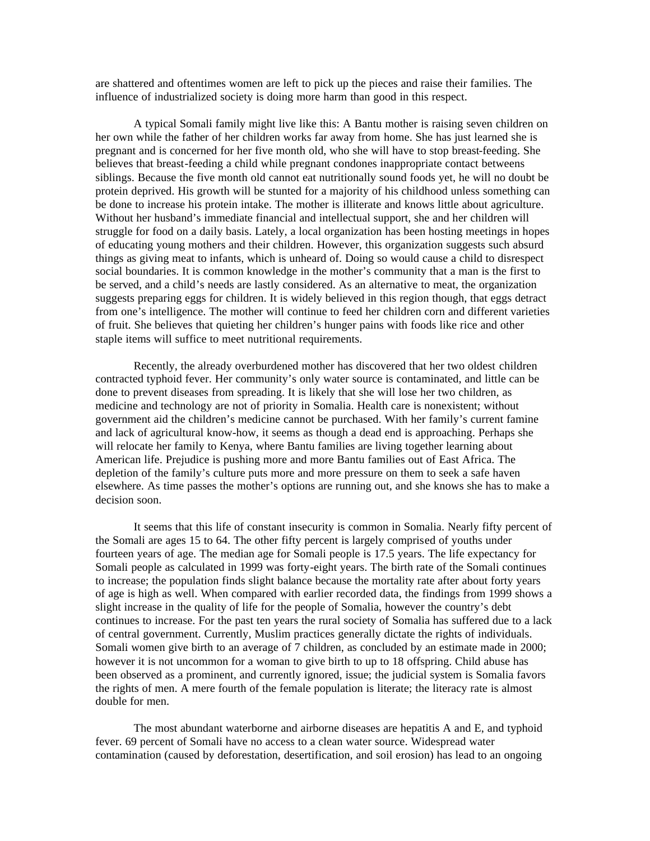are shattered and oftentimes women are left to pick up the pieces and raise their families. The influence of industrialized society is doing more harm than good in this respect.

A typical Somali family might live like this: A Bantu mother is raising seven children on her own while the father of her children works far away from home. She has just learned she is pregnant and is concerned for her five month old, who she will have to stop breast-feeding. She believes that breast-feeding a child while pregnant condones inappropriate contact betweens siblings. Because the five month old cannot eat nutritionally sound foods yet, he will no doubt be protein deprived. His growth will be stunted for a majority of his childhood unless something can be done to increase his protein intake. The mother is illiterate and knows little about agriculture. Without her husband's immediate financial and intellectual support, she and her children will struggle for food on a daily basis. Lately, a local organization has been hosting meetings in hopes of educating young mothers and their children. However, this organization suggests such absurd things as giving meat to infants, which is unheard of. Doing so would cause a child to disrespect social boundaries. It is common knowledge in the mother's community that a man is the first to be served, and a child's needs are lastly considered. As an alternative to meat, the organization suggests preparing eggs for children. It is widely believed in this region though, that eggs detract from one's intelligence. The mother will continue to feed her children corn and different varieties of fruit. She believes that quieting her children's hunger pains with foods like rice and other staple items will suffice to meet nutritional requirements.

Recently, the already overburdened mother has discovered that her two oldest children contracted typhoid fever. Her community's only water source is contaminated, and little can be done to prevent diseases from spreading. It is likely that she will lose her two children, as medicine and technology are not of priority in Somalia. Health care is nonexistent; without government aid the children's medicine cannot be purchased. With her family's current famine and lack of agricultural know-how, it seems as though a dead end is approaching. Perhaps she will relocate her family to Kenya, where Bantu families are living together learning about American life. Prejudice is pushing more and more Bantu families out of East Africa. The depletion of the family's culture puts more and more pressure on them to seek a safe haven elsewhere. As time passes the mother's options are running out, and she knows she has to make a decision soon.

It seems that this life of constant insecurity is common in Somalia. Nearly fifty percent of the Somali are ages 15 to 64. The other fifty percent is largely comprised of youths under fourteen years of age. The median age for Somali people is 17.5 years. The life expectancy for Somali people as calculated in 1999 was forty-eight years. The birth rate of the Somali continues to increase; the population finds slight balance because the mortality rate after about forty years of age is high as well. When compared with earlier recorded data, the findings from 1999 shows a slight increase in the quality of life for the people of Somalia, however the country's debt continues to increase. For the past ten years the rural society of Somalia has suffered due to a lack of central government. Currently, Muslim practices generally dictate the rights of individuals. Somali women give birth to an average of 7 children, as concluded by an estimate made in 2000; however it is not uncommon for a woman to give birth to up to 18 offspring. Child abuse has been observed as a prominent, and currently ignored, issue; the judicial system is Somalia favors the rights of men. A mere fourth of the female population is literate; the literacy rate is almost double for men.

The most abundant waterborne and airborne diseases are hepatitis A and E, and typhoid fever. 69 percent of Somali have no access to a clean water source. Widespread water contamination (caused by deforestation, desertification, and soil erosion) has lead to an ongoing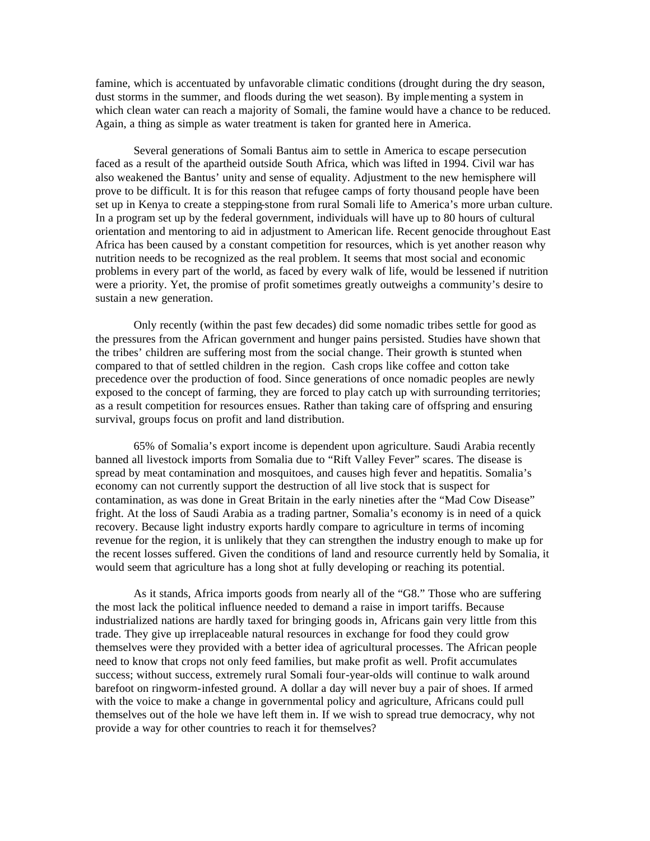famine, which is accentuated by unfavorable climatic conditions (drought during the dry season, dust storms in the summer, and floods during the wet season). By implementing a system in which clean water can reach a majority of Somali, the famine would have a chance to be reduced. Again, a thing as simple as water treatment is taken for granted here in America.

Several generations of Somali Bantus aim to settle in America to escape persecution faced as a result of the apartheid outside South Africa, which was lifted in 1994. Civil war has also weakened the Bantus' unity and sense of equality. Adjustment to the new hemisphere will prove to be difficult. It is for this reason that refugee camps of forty thousand people have been set up in Kenya to create a stepping-stone from rural Somali life to America's more urban culture. In a program set up by the federal government, individuals will have up to 80 hours of cultural orientation and mentoring to aid in adjustment to American life. Recent genocide throughout East Africa has been caused by a constant competition for resources, which is yet another reason why nutrition needs to be recognized as the real problem. It seems that most social and economic problems in every part of the world, as faced by every walk of life, would be lessened if nutrition were a priority. Yet, the promise of profit sometimes greatly outweighs a community's desire to sustain a new generation.

Only recently (within the past few decades) did some nomadic tribes settle for good as the pressures from the African government and hunger pains persisted. Studies have shown that the tribes' children are suffering most from the social change. Their growth is stunted when compared to that of settled children in the region. Cash crops like coffee and cotton take precedence over the production of food. Since generations of once nomadic peoples are newly exposed to the concept of farming, they are forced to play catch up with surrounding territories; as a result competition for resources ensues. Rather than taking care of offspring and ensuring survival, groups focus on profit and land distribution.

65% of Somalia's export income is dependent upon agriculture. Saudi Arabia recently banned all livestock imports from Somalia due to "Rift Valley Fever" scares. The disease is spread by meat contamination and mosquitoes, and causes high fever and hepatitis. Somalia's economy can not currently support the destruction of all live stock that is suspect for contamination, as was done in Great Britain in the early nineties after the "Mad Cow Disease" fright. At the loss of Saudi Arabia as a trading partner, Somalia's economy is in need of a quick recovery. Because light industry exports hardly compare to agriculture in terms of incoming revenue for the region, it is unlikely that they can strengthen the industry enough to make up for the recent losses suffered. Given the conditions of land and resource currently held by Somalia, it would seem that agriculture has a long shot at fully developing or reaching its potential.

As it stands, Africa imports goods from nearly all of the "G8." Those who are suffering the most lack the political influence needed to demand a raise in import tariffs. Because industrialized nations are hardly taxed for bringing goods in, Africans gain very little from this trade. They give up irreplaceable natural resources in exchange for food they could grow themselves were they provided with a better idea of agricultural processes. The African people need to know that crops not only feed families, but make profit as well. Profit accumulates success; without success, extremely rural Somali four-year-olds will continue to walk around barefoot on ringworm-infested ground. A dollar a day will never buy a pair of shoes. If armed with the voice to make a change in governmental policy and agriculture, Africans could pull themselves out of the hole we have left them in. If we wish to spread true democracy, why not provide a way for other countries to reach it for themselves?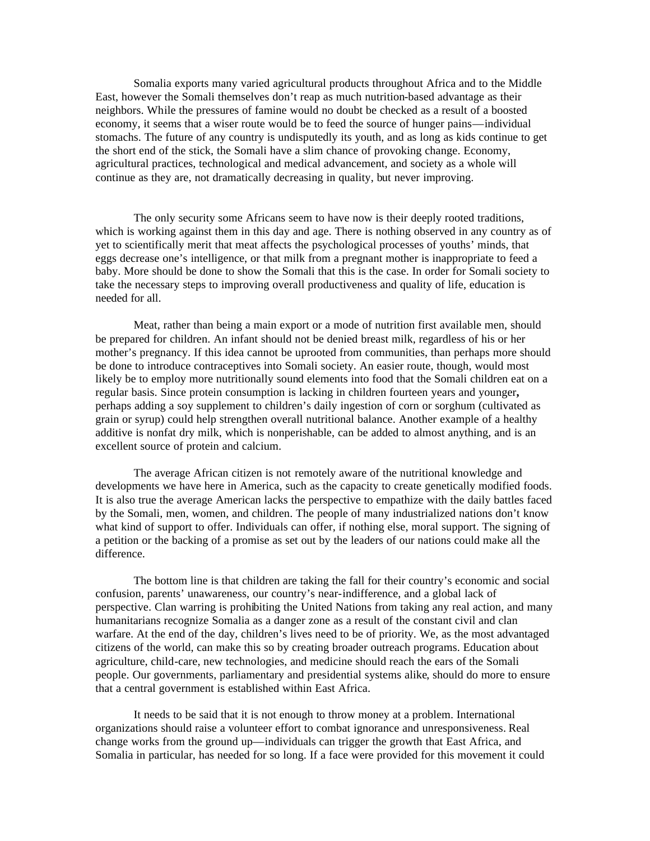Somalia exports many varied agricultural products throughout Africa and to the Middle East, however the Somali themselves don't reap as much nutrition-based advantage as their neighbors. While the pressures of famine would no doubt be checked as a result of a boosted economy, it seems that a wiser route would be to feed the source of hunger pains—individual stomachs. The future of any country is undisputedly its youth, and as long as kids continue to get the short end of the stick, the Somali have a slim chance of provoking change. Economy, agricultural practices, technological and medical advancement, and society as a whole will continue as they are, not dramatically decreasing in quality, but never improving.

The only security some Africans seem to have now is their deeply rooted traditions, which is working against them in this day and age. There is nothing observed in any country as of yet to scientifically merit that meat affects the psychological processes of youths' minds, that eggs decrease one's intelligence, or that milk from a pregnant mother is inappropriate to feed a baby. More should be done to show the Somali that this is the case. In order for Somali society to take the necessary steps to improving overall productiveness and quality of life, education is needed for all.

Meat, rather than being a main export or a mode of nutrition first available men, should be prepared for children. An infant should not be denied breast milk, regardless of his or her mother's pregnancy. If this idea cannot be uprooted from communities, than perhaps more should be done to introduce contraceptives into Somali society. An easier route, though, would most likely be to employ more nutritionally sound elements into food that the Somali children eat on a regular basis. Since protein consumption is lacking in children fourteen years and younger**,**  perhaps adding a soy supplement to children's daily ingestion of corn or sorghum (cultivated as grain or syrup) could help strengthen overall nutritional balance. Another example of a healthy additive is nonfat dry milk, which is nonperishable, can be added to almost anything, and is an excellent source of protein and calcium.

The average African citizen is not remotely aware of the nutritional knowledge and developments we have here in America, such as the capacity to create genetically modified foods. It is also true the average American lacks the perspective to empathize with the daily battles faced by the Somali, men, women, and children. The people of many industrialized nations don't know what kind of support to offer. Individuals can offer, if nothing else, moral support. The signing of a petition or the backing of a promise as set out by the leaders of our nations could make all the difference.

The bottom line is that children are taking the fall for their country's economic and social confusion, parents' unawareness, our country's near-indifference, and a global lack of perspective. Clan warring is prohibiting the United Nations from taking any real action, and many humanitarians recognize Somalia as a danger zone as a result of the constant civil and clan warfare. At the end of the day, children's lives need to be of priority. We, as the most advantaged citizens of the world, can make this so by creating broader outreach programs. Education about agriculture, child-care, new technologies, and medicine should reach the ears of the Somali people. Our governments, parliamentary and presidential systems alike, should do more to ensure that a central government is established within East Africa.

It needs to be said that it is not enough to throw money at a problem. International organizations should raise a volunteer effort to combat ignorance and unresponsiveness. Real change works from the ground up—individuals can trigger the growth that East Africa, and Somalia in particular, has needed for so long. If a face were provided for this movement it could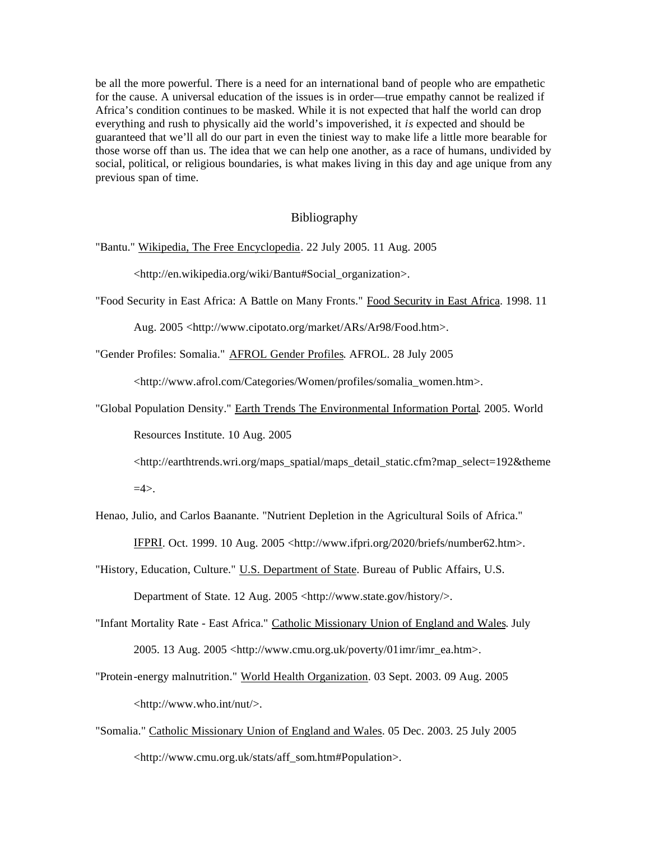be all the more powerful. There is a need for an international band of people who are empathetic for the cause. A universal education of the issues is in order—true empathy cannot be realized if Africa's condition continues to be masked. While it is not expected that half the world can drop everything and rush to physically aid the world's impoverished, it *is* expected and should be guaranteed that we'll all do our part in even the tiniest way to make life a little more bearable for those worse off than us. The idea that we can help one another, as a race of humans, undivided by social, political, or religious boundaries, is what makes living in this day and age unique from any previous span of time.

## Bibliography

"Bantu." Wikipedia, The Free Encyclopedia. 22 July 2005. 11 Aug. 2005

<http://en.wikipedia.org/wiki/Bantu#Social\_organization>.

"Food Security in East Africa: A Battle on Many Fronts." Food Security in East Africa. 1998. 11

Aug. 2005 <http://www.cipotato.org/market/ARs/Ar98/Food.htm>.

"Gender Profiles: Somalia." **AFROL Gender Profiles. AFROL. 28 July 2005** 

<http://www.afrol.com/Categories/Women/profiles/somalia\_women.htm>.

"Global Population Density." Earth Trends The Environmental Information Portal. 2005. World

Resources Institute. 10 Aug. 2005

 $\langle$ http://earthtrends.wri.org/maps\_spatial/maps\_detail\_static.cfm?map\_select=192&theme  $=4$ 

- Henao, Julio, and Carlos Baanante. "Nutrient Depletion in the Agricultural Soils of Africa." IFPRI. Oct. 1999. 10 Aug. 2005 <http://www.ifpri.org/2020/briefs/number62.htm>.
- "History, Education, Culture." U.S. Department of State. Bureau of Public Affairs, U.S. Department of State. 12 Aug. 2005 <http://www.state.gov/history/>.
- "Infant Mortality Rate East Africa." Catholic Missionary Union of England and Wales. July 2005. 13 Aug. 2005 <http://www.cmu.org.uk/poverty/01imr/imr\_ea.htm>.
- "Protein-energy malnutrition." World Health Organization. 03 Sept. 2003. 09 Aug. 2005 <http://www.who.int/nut/>.
- "Somalia." Catholic Missionary Union of England and Wales. 05 Dec. 2003. 25 July 2005 <http://www.cmu.org.uk/stats/aff\_som.htm#Population>.